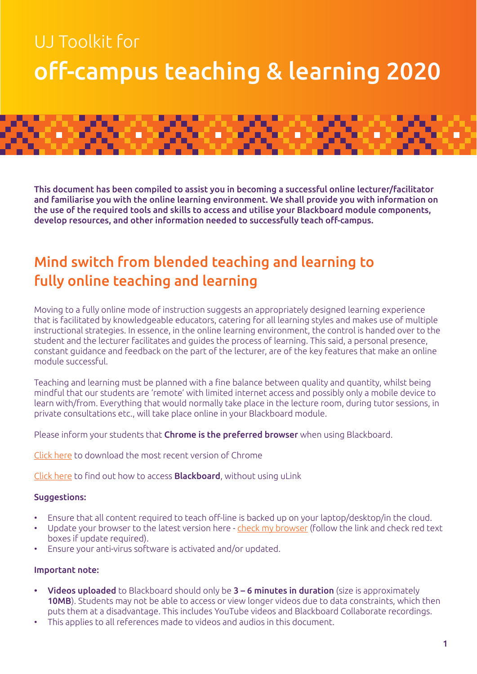# UJ Toolkit for off-campus teaching & learning 2020



This document has been compiled to assist you in becoming a successful online lecturer/facilitator and familiarise you with the online learning environment. We shall provide you with information on the use of the required tools and skills to access and utilise your Blackboard module components, develop resources, and other information needed to successfully teach off-campus.

# Mind switch from blended teaching and learning to fully online teaching and learning

Moving to a fully online mode of instruction suggests an appropriately designed learning experience that is facilitated by knowledgeable educators, catering for all learning styles and makes use of multiple instructional strategies. In essence, in the online learning environment, the control is handed over to the student and the lecturer facilitates and guides the process of learning. This said, a personal presence, constant guidance and feedback on the part of the lecturer, are of the key features that make an online module successful.

Teaching and learning must be planned with a fine balance between quality and quantity, whilst being mindful that our students are 'remote' with limited internet access and possibly only a mobile device to learn with/from. Everything that would normally take place in the lecture room, during tutor sessions, in private consultations etc., will take place online in your Blackboard module.

Please inform your students that Chrome is the preferred browser when using Blackboard.

[Click here](https://www.google.com/intl/en/chrome/browser/) to download the most recent version of Chrome

[Click here](https://ulink.uj.ac.za/CM0002/How%20to%20log%20onto%20Blackboard%20without%20using%20uLink.pdf) to find out how to access **Blackboard**, without using uLink

#### Suggestions:

- Ensure that all content required to teach off-line is backed up on your laptop/desktop/in the cloud.
- Update your browser to the latest version here [check my browser](https://www.whatismybrowser.com/) (follow the link and check red text boxes if update required).
- Ensure your anti-virus software is activated and/or updated.

#### Important note:

- Videos uploaded to Blackboard should only be 3 6 minutes in duration (size is approximately 10MB). Students may not be able to access or view longer videos due to data constraints, which then puts them at a disadvantage. This includes YouTube videos and Blackboard Collaborate recordings.
- This applies to all references made to videos and audios in this document.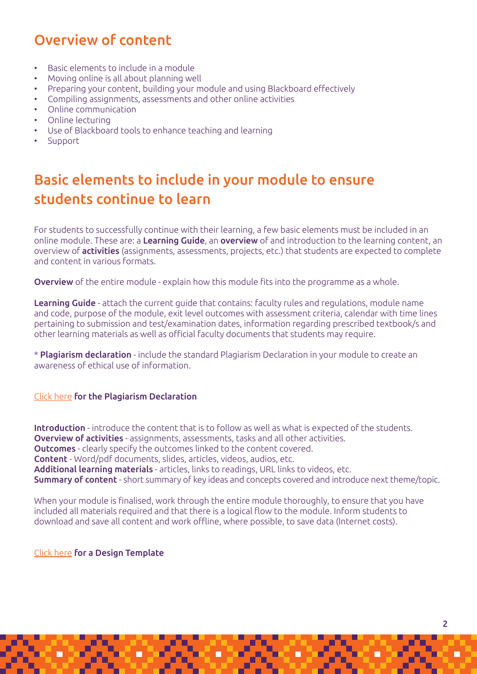# Overview of content

- Basic elements to include in a module
- Moving online is all about planning well
- Preparing your content, building your module and using Blackboard effectively
- Compiling assignments, assessments and other online activities
- Online communication
- Online lecturing
- Use of Blackboard tools to enhance teaching and learning
- Support

# Basic elements to include in your module to ensure students continue to learn

For students to successfully continue with their learning, a few basic elements must be included in an online module. These are: a Learning Guide, an overview of and introduction to the learning content, an overview of activities (assignments, assessments, projects, etc.) that students are expected to complete and content in various formats.

**Overview** of the entire module - explain how this module fits into the programme as a whole.

Learning Guide - attach the current quide that contains: faculty rules and regulations, module name and code, purpose of the module, exit level outcomes with assessment criteria, calendar with time lines pertaining to submission and test/examination dates, information regarding prescribed textbook/s and other learning materials as well as official faculty documents that students may require.

\* Plagiarism declaration - include the standard Plagiarism Declaration in your module to create an awareness of ethical use of information.

#### [Click here](https://ulink.uj.ac.za/CM0002/Plagiarism%20Declaration.pdf) for the Plagiarism Declaration

Introduction - introduce the content that is to follow as well as what is expected of the students. Overview of activities - assignments, assessments, tasks and all other activities. Outcomes - clearly specify the outcomes linked to the content covered. Content - Word/pdf documents, slides, articles, videos, audios, etc. Additional learning materials - articles, links to readings, URL links to videos, etc. Summary of content - short summary of key ideas and concepts covered and introduce next theme/topic.

When your module is finalised, work through the entire module thoroughly, to ensure that you have included all materials required and that there is a logical flow to the module. Inform students to download and save all content and work offline, where possible, to save data (Internet costs).

[Click here](https://ulink.uj.ac.za/CM0002/Blackboard%20Design%20and%20Development%20Template.pdf) for a Design Template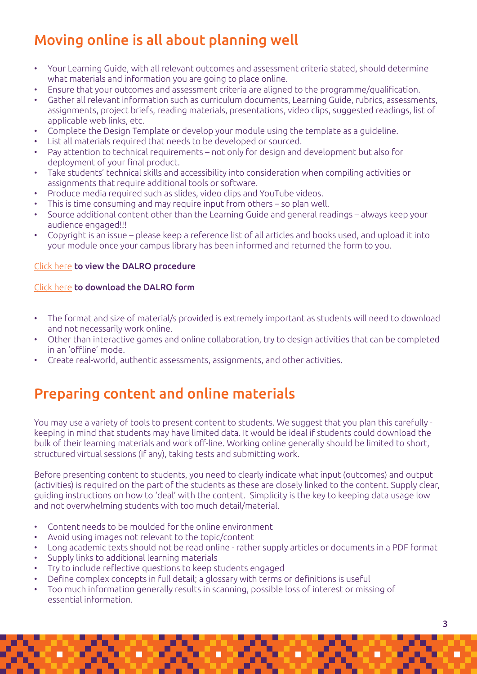# Moving online is all about planning well

- Your Learning Guide, with all relevant outcomes and assessment criteria stated, should determine what materials and information you are going to place online.
- Ensure that your outcomes and assessment criteria are aligned to the programme/qualification.
- Gather all relevant information such as curriculum documents, Learning Guide, rubrics, assessments, assignments, project briefs, reading materials, presentations, video clips, suggested readings, list of applicable web links, etc.
- Complete the Design Template or develop your module using the template as a guideline.
- List all materials required that needs to be developed or sourced.
- Pay attention to technical requirements not only for design and development but also for deployment of your final product.
- Take students' technical skills and accessibility into consideration when compiling activities or assignments that require additional tools or software.
- Produce media required such as slides, video clips and YouTube videos.
- This is time consuming and may require input from others so plan well.
- Source additional content other than the Learning Guide and general readings always keep your audience engaged!!!
- Copyright is an issue please keep a reference list of all articles and books used, and upload it into your module once your campus library has been informed and returned the form to you.

#### [Click here](https://ulink.uj.ac.za/CM0002/DALRO%20procedure%20for%20fully%20online%20modules.pdf) to view the DALRO procedure

#### [Click here](https://ulink.uj.ac.za/CM0002/DALRO%20Permission%20for%20fully%20online%20programmes%20and%20modules.xls) to download the DALRO form

- The format and size of material/s provided is extremely important as students will need to download and not necessarily work online.
- Other than interactive games and online collaboration, try to design activities that can be completed in an 'offline' mode.
- Create real-world, authentic assessments, assignments, and other activities.

# Preparing content and online materials

You may use a variety of tools to present content to students. We suggest that you plan this carefully keeping in mind that students may have limited data. It would be ideal if students could download the bulk of their learning materials and work off-line. Working online generally should be limited to short, structured virtual sessions (if any), taking tests and submitting work.

Before presenting content to students, you need to clearly indicate what input (outcomes) and output (activities) is required on the part of the students as these are closely linked to the content. Supply clear, guiding instructions on how to 'deal' with the content. Simplicity is the key to keeping data usage low and not overwhelming students with too much detail/material.

- Content needs to be moulded for the online environment
- Avoid using images not relevant to the topic/content
- Long academic texts should not be read online rather supply articles or documents in a PDF format
- Supply links to additional learning materials
- Try to include reflective questions to keep students engaged
- Define complex concepts in full detail; a glossary with terms or definitions is useful
- Too much information generally results in scanning, possible loss of interest or missing of essential information.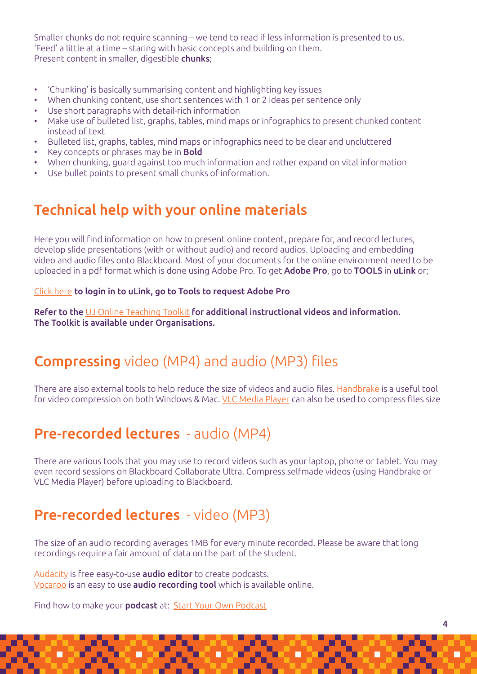Smaller chunks do not require scanning – we tend to read if less information is presented to us. 'Feed' a little at a time – staring with basic concepts and building on them. Present content in smaller, digestible **chunks**;

- 'Chunking' is basically summarising content and highlighting key issues
- When chunking content, use short sentences with 1 or 2 ideas per sentence only
- Use short paragraphs with detail-rich information
- Make use of bulleted list, graphs, tables, mind maps or infographics to present chunked content instead of text
- Bulleted list, graphs, tables, mind maps or infographics need to be clear and uncluttered
- Key concepts or phrases may be in **Bold**
- When chunking, guard against too much information and rather expand on vital information
- Use bullet points to present small chunks of information.

#### Technical help with your online materials

Here you will find information on how to present online content, prepare for, and record lectures, develop slide presentations (with or without audio) and record audios. Uploading and embedding video and audio files onto Blackboard. Most of your documents for the online environment need to be uploaded in a pdf format which is done using Adobe Pro. To get Adobe Pro, go to TOOLS in uLink or;

#### [Click here](https://ulink.uj.ac.za/views/staff/StaffTools) to login in to uLink, go to Tools to request Adobe Pro

Refer to the [UJ Online Teaching Toolkit](https://uj.blackboard.com/?new_loc=%2Fultra%2Forganizations%2F_30982_1%2Fcl%2Foutline) for additional instructional videos and information. The Toolkit is available under Organisations.

# Compressing video (MP4) and audio (MP3) files

There are also external tools to help reduce the size of videos and audio files. [Handbrake](https://handbrake.fr/) is a useful tool for video compression on both Windows & Mac. [VLC Media Player](https://www.videolan.org/vlc/) can also be used to compress files size

#### Pre-recorded lectures - audio (MP4)

There are various tools that you may use to record videos such as your laptop, phone or tablet. You may even record sessions on Blackboard Collaborate Ultra. Compress selfmade videos (using Handbrake or VLC Media Player) before uploading to Blackboard.

#### Pre-recorded lectures - video (MP3)

The size of an audio recording averages 1MB for every minute recorded. Please be aware that long recordings require a fair amount of data on the part of the student.

[Audacity](https://www.audacityteam.org/) is free easy-to-use **audio editor** to create podcasts. [Vocaroo](https://vocaroo.com/) is an easy to use audio recording tool which is available online.

Find how to make your **podcast** at: **[Start Your Own Podcast](http://www.wikihow.com/Start-Your-Own-Podcast)**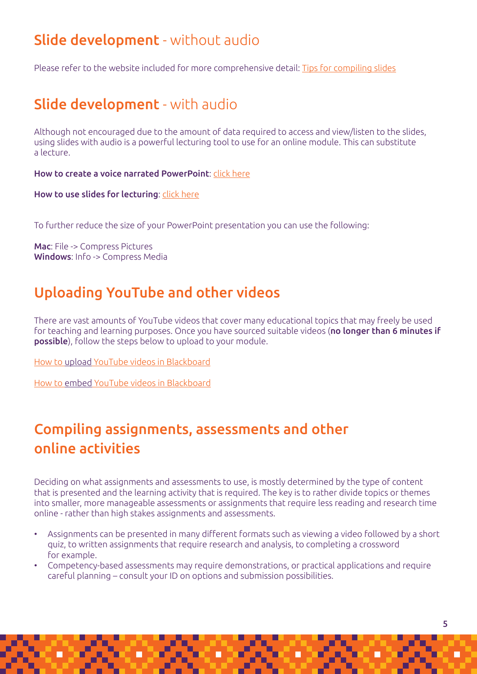## Slide development - without audio

Please refer to the website included for more comprehensive detail: [Tips for compiling slides](https://ulink.uj.ac.za/CM0002/Tips%20for%20compiling%20slides.pdf)

# Slide development - with audio

Although not encouraged due to the amount of data required to access and view/listen to the slides, using slides with audio is a powerful lecturing tool to use for an online module. This can substitute a lecture.

How to create a voice narrated PowerPoint: [click here](https://support.office.com/en-us/article/video-record-presentations-2570dff5-f81c-40bc-b404-e04e95ffab33)

How to use slides for lecturing: [click here](https://ulink.uj.ac.za/CM0002/How%20to%20use%20slides%20for%20lecturing.pdf)

To further reduce the size of your PowerPoint presentation you can use the following:

Mac: File -> Compress Pictures Windows: Info -> Compress Media

# Uploading YouTube and other videos

There are vast amounts of YouTube videos that cover many educational topics that may freely be used for teaching and learning purposes. Once you have sourced suitable videos (no longer than 6 minutes if possible), follow the steps below to upload to your module.

[How to upload YouTube videos in Blackboard](https://ulink.uj.ac.za/CM0002/How%20to%20upload%20YouTube%20videos%20in%20Blackboard.pdf)

[How to embed YouTube videos in Blackboard](https://ulink.uj.ac.za/CM0002/How%20to%20embed%20YouTube%20videos%20in%20Blackboard.pdf)

# Compiling assignments, assessments and other online activities

Deciding on what assignments and assessments to use, is mostly determined by the type of content that is presented and the learning activity that is required. The key is to rather divide topics or themes into smaller, more manageable assessments or assignments that require less reading and research time online - rather than high stakes assignments and assessments.

- Assignments can be presented in many different formats such as viewing a video followed by a short quiz, to written assignments that require research and analysis, to completing a crossword for example.
- Competency-based assessments may require demonstrations, or practical applications and require careful planning – consult your ID on options and submission possibilities.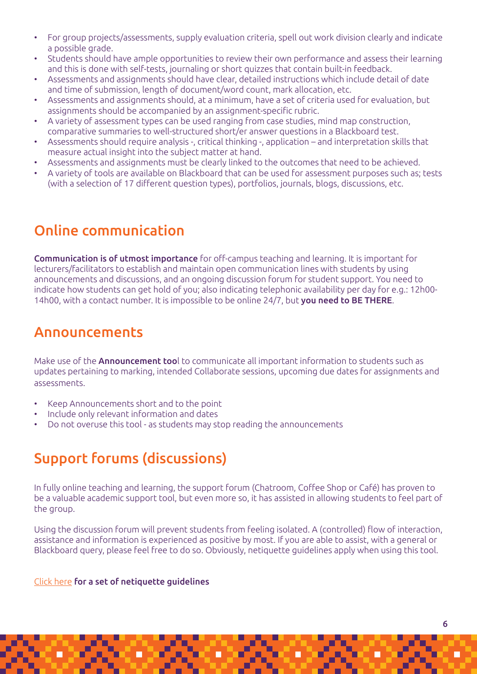- For group projects/assessments, supply evaluation criteria, spell out work division clearly and indicate a possible grade.
- Students should have ample opportunities to review their own performance and assess their learning and this is done with self-tests, journaling or short quizzes that contain built-in feedback.
- Assessments and assignments should have clear, detailed instructions which include detail of date and time of submission, length of document/word count, mark allocation, etc.
- Assessments and assignments should, at a minimum, have a set of criteria used for evaluation, but assignments should be accompanied by an assignment-specific rubric.
- A variety of assessment types can be used ranging from case studies, mind map construction, comparative summaries to well-structured short/er answer questions in a Blackboard test.
- Assessments should require analysis -, critical thinking -, application and interpretation skills that measure actual insight into the subject matter at hand.
- Assessments and assignments must be clearly linked to the outcomes that need to be achieved.
- A variety of tools are available on Blackboard that can be used for assessment purposes such as; tests (with a selection of 17 different question types), portfolios, journals, blogs, discussions, etc.

### Online communication

Communication is of utmost importance for off-campus teaching and learning. It is important for lecturers/facilitators to establish and maintain open communication lines with students by using announcements and discussions, and an ongoing discussion forum for student support. You need to indicate how students can get hold of you; also indicating telephonic availability per day for e.g.: 12h00- 14h00, with a contact number. It is impossible to be online 24/7, but you need to BE THERE.

#### Announcements

Make use of the **Announcement too**l to communicate all important information to students such as updates pertaining to marking, intended Collaborate sessions, upcoming due dates for assignments and assessments.

- Keep Announcements short and to the point
- Include only relevant information and dates
- Do not overuse this tool as students may stop reading the announcements

### Support forums (discussions)

In fully online teaching and learning, the support forum (Chatroom, Coffee Shop or Café) has proven to be a valuable academic support tool, but even more so, it has assisted in allowing students to feel part of the group.

Using the discussion forum will prevent students from feeling isolated. A (controlled) flow of interaction, assistance and information is experienced as positive by most. If you are able to assist, with a general or Blackboard query, please feel free to do so. Obviously, netiquette guidelines apply when using this tool.

#### [Click here](https://ulink.uj.ac.za/CM0002/Netiquette%20Guidelines.pdf) for a set of netiquette guidelines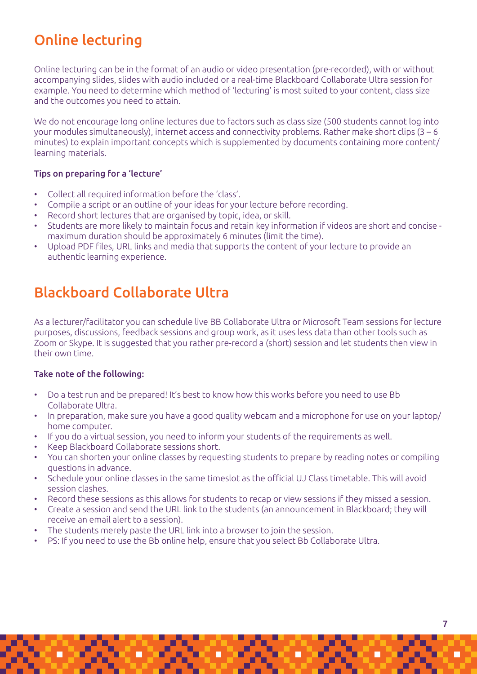# Online lecturing

Online lecturing can be in the format of an audio or video presentation (pre-recorded), with or without accompanying slides, slides with audio included or a real-time Blackboard Collaborate Ultra session for example. You need to determine which method of 'lecturing' is most suited to your content, class size and the outcomes you need to attain.

We do not encourage long online lectures due to factors such as class size (500 students cannot log into your modules simultaneously), internet access and connectivity problems. Rather make short clips (3 – 6 minutes) to explain important concepts which is supplemented by documents containing more content/ learning materials.

#### Tips on preparing for a 'lecture'

- Collect all required information before the 'class'.
- Compile a script or an outline of your ideas for your lecture before recording.
- Record short lectures that are organised by topic, idea, or skill.
- Students are more likely to maintain focus and retain key information if videos are short and concise maximum duration should be approximately 6 minutes (limit the time).
- Upload PDF files, URL links and media that supports the content of your lecture to provide an authentic learning experience.

## Blackboard Collaborate Ultra

As a lecturer/facilitator you can schedule live BB Collaborate Ultra or Microsoft Team sessions for lecture purposes, discussions, feedback sessions and group work, as it uses less data than other tools such as Zoom or Skype. It is suggested that you rather pre-record a (short) session and let students then view in their own time.

#### Take note of the following:

- Do a test run and be prepared! It's best to know how this works before you need to use Bb Collaborate Ultra.
- In preparation, make sure you have a good quality webcam and a microphone for use on your laptop/ home computer.
- If you do a virtual session, you need to inform your students of the requirements as well.
- Keep Blackboard Collaborate sessions short.
- You can shorten your online classes by requesting students to prepare by reading notes or compiling questions in advance.
- Schedule your online classes in the same timeslot as the official UJ Class timetable. This will avoid session clashes.
- Record these sessions as this allows for students to recap or view sessions if they missed a session.
- Create a session and send the URL link to the students (an announcement in Blackboard; they will receive an email alert to a session).
- The students merely paste the URL link into a browser to join the session.
- PS: If you need to use the Bb online help, ensure that you select Bb Collaborate Ultra.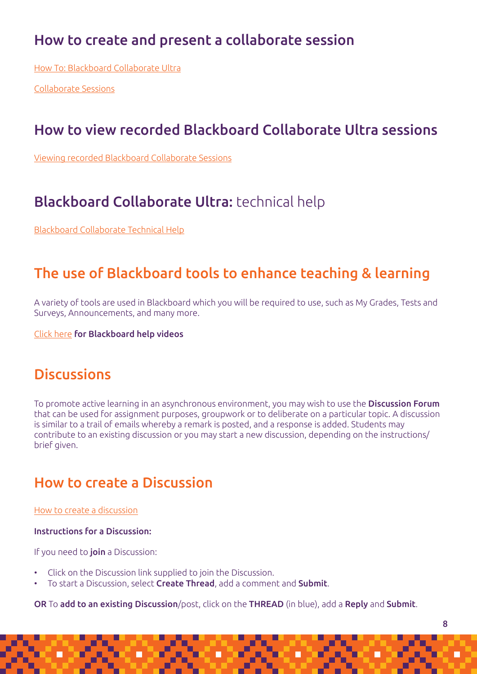### How to create and present a collaborate session

[How To: Blackboard Collaborate Ultra](https://ulink.uj.ac.za/CM0002/How%20to%20-%20Blackboard%20Collaborate%20Ultra.pdf)

[Collaborate Sessions](https://ulink.uj.ac.za/CM0002/Collaborate%20sessions.pdf)

### How to view recorded Blackboard Collaborate Ultra sessions

[Viewing recorded Blackboard Collaborate Sessions](https://ulink.uj.ac.za/CM0002/Viewing%20recorded%20Blackboard%20Collaborate%20Sessions.pdf)

## Blackboard Collaborate Ultra: technical help

[Blackboard Collaborate Technical Help](https://ulink.uj.ac.za/CM0002/Blackboard%20Collaborate%20Technical%20Help.pdf)

### The use of Blackboard tools to enhance teaching & learning

A variety of tools are used in Blackboard which you will be required to use, such as My Grades, Tests and Surveys, Announcements, and many more.

[Click here](https://www.youtube.com/playlist?list=PLontYaReEU1tzu1T5gfiX-JQA5nBc3isN) for Blackboard help videos

### **Discussions**

To promote active learning in an asynchronous environment, you may wish to use the **Discussion Forum** that can be used for assignment purposes, groupwork or to deliberate on a particular topic. A discussion is similar to a trail of emails whereby a remark is posted, and a response is added. Students may contribute to an existing discussion or you may start a new discussion, depending on the instructions/ brief given.

#### How to create a Discussion

[How to create a discussion](https://ulink.uj.ac.za/CM0002/How%20to%20create%20a%20discussion.pdf)

#### Instructions for a Discussion:

If you need to join a Discussion:

- Click on the Discussion link supplied to join the Discussion.
- To start a Discussion, select Create Thread, add a comment and Submit.

OR To add to an existing Discussion/post, click on the THREAD (in blue), add a Reply and Submit.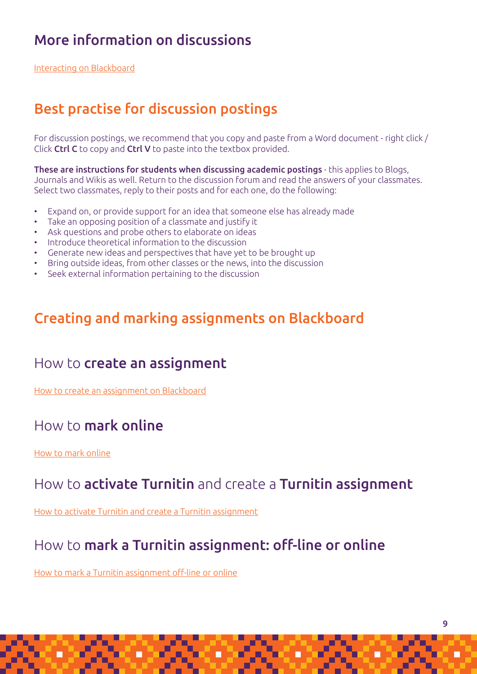# More information on discussions

[Interacting on Blackboard](https://help.blackboard.com/Learn/Instructor/Interact/Discussions/Create_Discussions)

## Best practise for discussion postings

For discussion postings, we recommend that you copy and paste from a Word document - right click / Click Ctrl C to copy and Ctrl V to paste into the textbox provided.

These are instructions for students when discussing academic postings - this applies to Blogs, Journals and Wikis as well. Return to the discussion forum and read the answers of your classmates. Select two classmates, reply to their posts and for each one, do the following:

- Expand on, or provide support for an idea that someone else has already made
- Take an opposing position of a classmate and justify it
- Ask questions and probe others to elaborate on ideas
- Introduce theoretical information to the discussion
- Generate new ideas and perspectives that have yet to be brought up
- Bring outside ideas, from other classes or the news, into the discussion
- Seek external information pertaining to the discussion

#### Creating and marking assignments on Blackboard

#### How to create an assignment

[How to create an assignment on Blackboard](https://ulink.uj.ac.za/CM0002/How%20to%20create%20an%20assignment%20on%20Blackboard.pdf)

#### How to mark online

#### [How to mark online](https://ulink.uj.ac.za/CM0002/How%20to%20mark%20on%20line.pdf)

#### How to activate Turnitin and create a Turnitin assignment

[How to activate Turnitin and create a Turnitin assignment](https://ulink.uj.ac.za/CM0002/How%20to%20activate%20Turnitin%20and%20create%20a%20Turnitin%20assignment.pdf)

### How to mark a Turnitin assignment: off-line or online

[How to mark a Turnitin assignment off-line or online](https://ulink.uj.ac.za/CM0002/How%20to%20mark%20a%20Turnitin%20assignment%20off-line%20or%20online.pdf)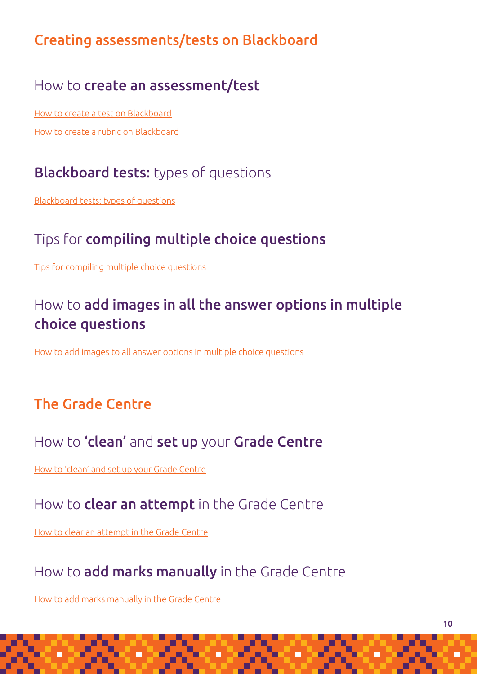# Creating assessments/tests on Blackboard

#### How to create an assessment/test

[How to create a test on Blackboard](https://ulink.uj.ac.za/CM0002/How%20to%20create%20a%20test%20on%20Blackboard.pdf) [How to create a rubric on Blackboard](https://ulink.uj.ac.za/CM0002/Creating%20rubrics%20on%20Blackboard.pdf)

# Blackboard tests: types of questions

[Blackboard tests: types of questions](https://ulink.uj.ac.za/CM0002/Blackboard%20tests%20Types%20of%20questions.pdf)

# Tips for compiling multiple choice questions

[Tips for compiling multiple choice questions](https://ulink.uj.ac.za/CM0002/Tips%20for%20compiling%20multiple%20choice%20questions.pdf)

# How to add images in all the answer options in multiple choice questions

[How to add images to all answer options in multiple choice questions](https://ulink.uj.ac.za/CM0002/How%20to%20add%20images%20to%20all%20answer%20options%20in%20multiple%20choice%20questions.pdf)

# The Grade Centre

# How to 'clean' and set up your Grade Centre

[How to 'clean' and set up your Grade Centre](https://ulink.uj.ac.za/CM0002/How%20to%20)

### How to **clear an attempt** in the Grade Centre

[How to clear an attempt in the Grade Centre](https://ulink.uj.ac.za/CM0002/How%20to%20clear%20a%20NEEDS%20MARKING%20attempt%20for%20a%20quiz.pdf)

# How to **add marks manually** in the Grade Centre

[How to add marks manually in the Grade Centre](https://ulink.uj.ac.za/CM0002/How%20to%20add%20marks%20manually%20in%20the%20Grade%20Centre.pdf)